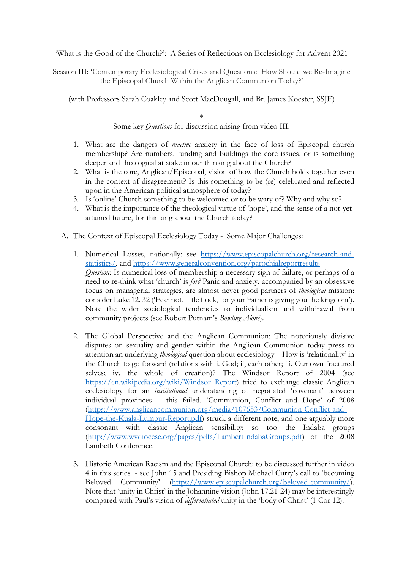'What is the Good of the Church?': A Series of Reflections on Ecclesiology for Advent 2021

Session III: 'Contemporary Ecclesiological Crises and Questions: How Should we Re-Imagine the Episcopal Church Within the Anglican Communion Today?'

(with Professors Sarah Coakley and Scott MacDougall, and Br. James Koester, SSJE)

\*

Some key *Questions* for discussion arising from video III:

- 1. What are the dangers of *reactive* anxiety in the face of loss of Episcopal church membership? Are numbers, funding and buildings the core issues, or is something deeper and theological at stake in our thinking about the Church?
- 2. What is the core, Anglican/Episcopal, vision of how the Church holds together even in the context of disagreement? Is this something to be (re)-celebrated and reflected upon in the American political atmosphere of today?
- 3. Is 'online' Church something to be welcomed or to be wary of? Why and why so?
- 4. What is the importance of the theological virtue of 'hope', and the sense of a not-yetattained future, for thinking about the Church today?
- A. The Context of Episcopal Ecclesiology Today Some Major Challenges:
	- 1. Numerical Losses, nationally: see https://www.episcopalchurch.org/research-andstatistics/, and https://www.generalconvention.org/parochialreportresults *Question*: Is numerical loss of membership a necessary sign of failure, or perhaps of a need to re-think what 'church' is *for?* Panic and anxiety, accompanied by an obsessive focus on managerial strategies, are almost never good partners of *theological* mission: consider Luke 12. 32 ('Fear not, little flock, for your Father is giving you the kingdom'). Note the wider sociological tendencies to individualism and withdrawal from community projects (see Robert Putnam's *Bowling Alone*).
	- 2. The Global Perspective and the Anglican Communion: The notoriously divisive disputes on sexuality and gender within the Anglican Communion today press to attention an underlying *theological* question about ecclesiology – How is 'relationality' in the Church to go forward (relations with i. God; ii, each other; iii. Our own fractured selves; iv. the whole of creation)? The Windsor Report of 2004 (see https://en.wikipedia.org/wiki/Windsor\_Report) tried to exchange classic Anglican ecclesiology for an *institutional* understanding of negotiated 'covenant' between individual provinces – this failed. 'Communion, Conflict and Hope' of 2008 (https://www.anglicancommunion.org/media/107653/Communion-Conflict-and-Hope-the-Kuala-Lumpur-Report.pdf) struck a different note, and one arguably more consonant with classic Anglican sensibility; so too the Indaba groups (http://www.wvdiocese.org/pages/pdfs/LambertIndabaGroups.pdf) of the 2008 Lambeth Conference.
	- 3. Historic American Racism and the Episcopal Church: to be discussed further in video 4 in this series - see John 15 and Presiding Bishop Michael Curry's call to 'becoming Beloved Community' (https://www.episcopalchurch.org/beloved-community/). Note that 'unity in Christ' in the Johannine vision (John 17.21-24) may be interestingly compared with Paul's vision of *differentiated* unity in the 'body of Christ' (1 Cor 12).